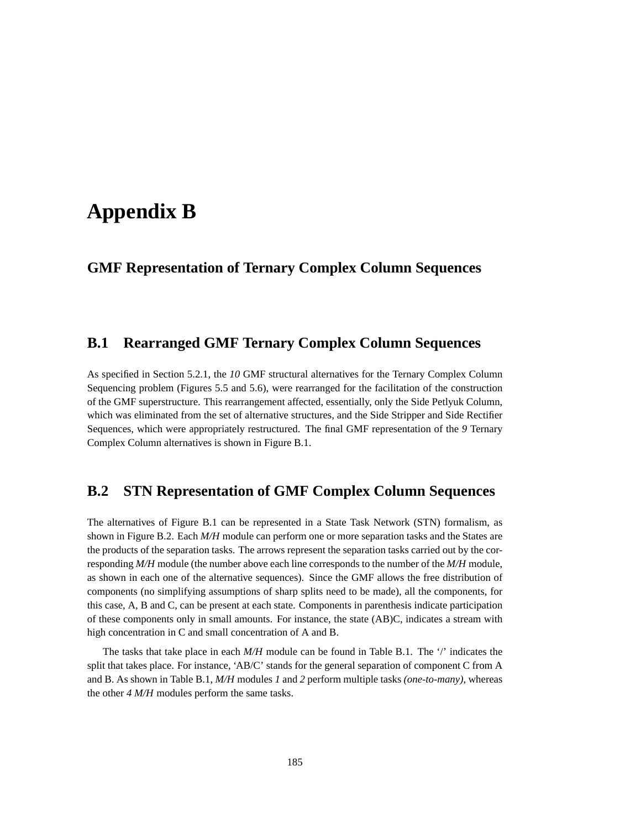## **Appendix B**

## **GMF Representation of Ternary Complex Column Sequences**

## **B.1 Rearranged GMF Ternary Complex Column Sequences**

As specified in Section 5.2.1, the *10* GMF structural alternatives for the Ternary Complex Column Sequencing problem (Figures 5.5 and 5.6), were rearranged for the facilitation of the construction of the GMF superstructure. This rearrangement affected, essentially, only the Side Petlyuk Column, which was eliminated from the set of alternative structures, and the Side Stripper and Side Rectifier Sequences, which were appropriately restructured. The final GMF representation of the *9* Ternary Complex Column alternatives is shown in Figure B.1.

## **B.2 STN Representation of GMF Complex Column Sequences**

The alternatives of Figure B.1 can be represented in a State Task Network (STN) formalism, as shown in Figure B.2. Each *M/H* module can perform one or more separation tasks and the States are the products of the separation tasks. The arrows represent the separation tasks carried out by the corresponding *M/H* module (the number above each line corresponds to the number of the *M/H* module, as shown in each one of the alternative sequences). Since the GMF allows the free distribution of components (no simplifying assumptions of sharp splits need to be made), all the components, for this case, A, B and C, can be present at each state. Components in parenthesis indicate participation of these components only in small amounts. For instance, the state (AB)C, indicates a stream with high concentration in C and small concentration of A and B.

The tasks that take place in each *M/H* module can be found in Table B.1. The '/' indicates the split that takes place. For instance, 'AB/C' stands for the general separation of component C from A and B. As shown in Table B.1, *M/H* modules *1* and *2* perform multiple tasks *(one-to-many)*, whereas the other *4 M/H* modules perform the same tasks.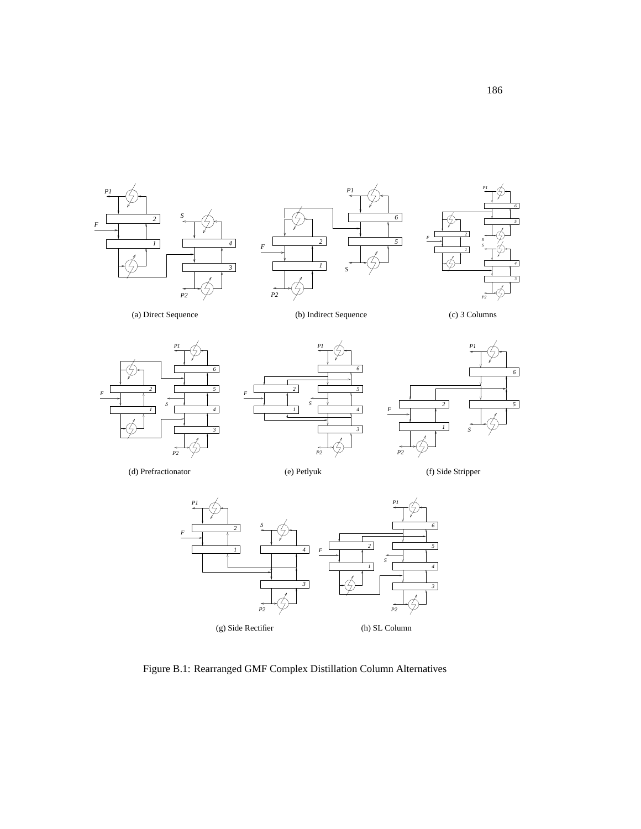





(a) Direct Sequence

(b) Indirect Sequence

(c) 3 Columns







(d) Prefractionator

(e) Petlyuk

(f) Side Stripper



Figure B.1: Rearranged GMF Complex Distillation Column Alternatives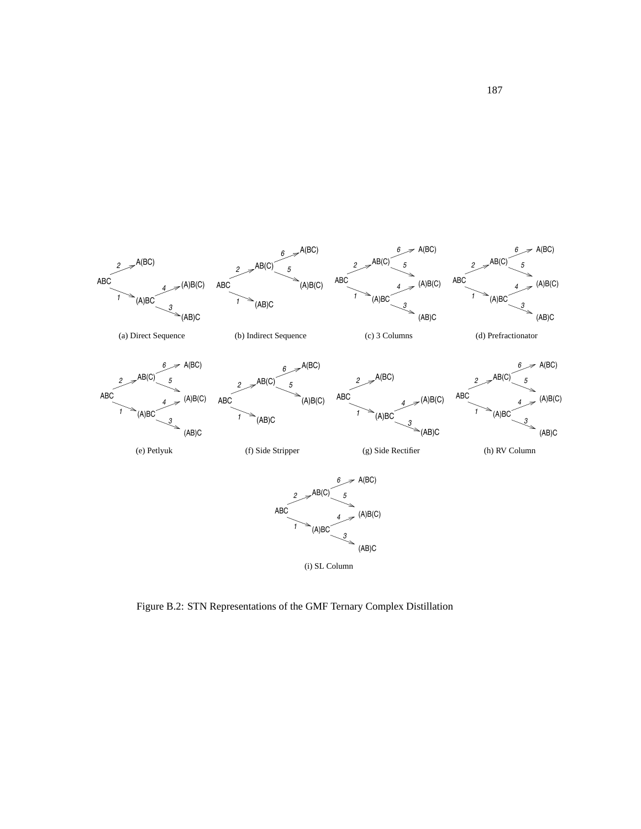

Figure B.2: STN Representations of the GMF Ternary Complex Distillation